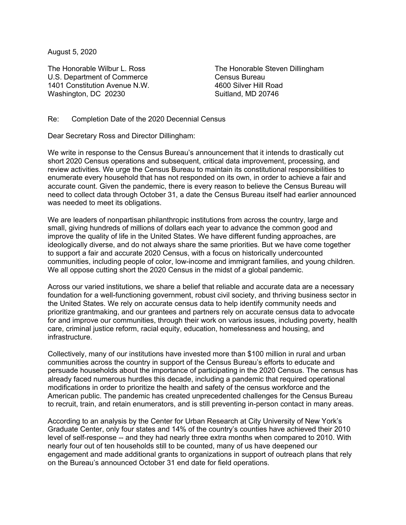August 5, 2020

The Honorable Wilbur L. Ross U.S. Department of Commerce 1401 Constitution Avenue N.W. Washington, DC 20230

The Honorable Steven Dillingham Census Bureau 4600 Silver Hill Road Suitland, MD 20746

Re: Completion Date of the 2020 Decennial Census

Dear Secretary Ross and Director Dillingham:

We write in response to the Census Bureau's announcement that it intends to drastically cut short 2020 Census operations and subsequent, critical data improvement, processing, and review activities. We urge the Census Bureau to maintain its constitutional responsibilities to enumerate every household that has not responded on its own, in order to achieve a fair and accurate count. Given the pandemic, there is every reason to believe the Census Bureau will need to collect data through October 31, a date the Census Bureau itself had earlier announced was needed to meet its obligations.

We are leaders of nonpartisan philanthropic institutions from across the country, large and small, giving hundreds of millions of dollars each year to advance the common good and improve the quality of life in the United States. We have different funding approaches, are ideologically diverse, and do not always share the same priorities. But we have come together to support a fair and accurate 2020 Census, with a focus on historically undercounted communities, including people of color, low-income and immigrant families, and young children. We all oppose cutting short the 2020 Census in the midst of a global pandemic.

Across our varied institutions, we share a belief that reliable and accurate data are a necessary foundation for a well-functioning government, robust civil society, and thriving business sector in the United States. We rely on accurate census data to help identify community needs and prioritize grantmaking, and our grantees and partners rely on accurate census data to advocate for and improve our communities, through their work on various issues, including poverty, health care, criminal justice reform, racial equity, education, homelessness and housing, and infrastructure.

Collectively, many of our institutions have invested more than \$100 million in rural and urban communities across the country in support of the Census Bureau's efforts to educate and persuade households about the importance of participating in the 2020 Census. The census has already faced numerous hurdles this decade, including a pandemic that required operational modifications in order to prioritize the health and safety of the census workforce and the American public. The pandemic has created unprecedented challenges for the Census Bureau to recruit, train, and retain enumerators, and is still preventing in-person contact in many areas.

According to an analysis by the Center for Urban Research at City University of New York's Graduate Center, only four states and 14% of the country's counties have achieved their 2010 level of self-response -- and they had nearly three extra months when compared to 2010. With nearly four out of ten households still to be counted, many of us have deepened our engagement and made additional grants to organizations in support of outreach plans that rely on the Bureau's announced October 31 end date for field operations.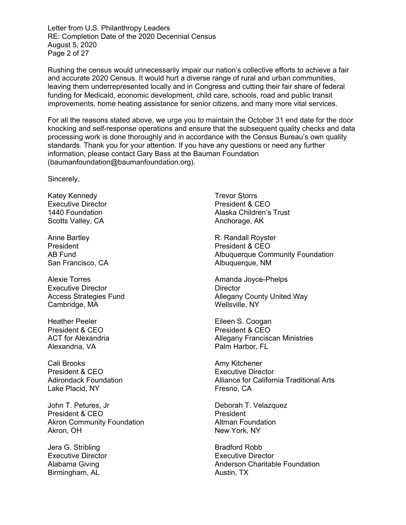Letter from U.S. Philanthropy Leaders RE: Completion Date of the 2020 Decennial Census August 5, 2020 Page 2 of 27

Rushing the census would unnecessarily impair our nation's collective efforts to achieve a fair and accurate 2020 Census. It would hurt a diverse range of rural and urban communities, leaving them underrepresented locally and in Congress and cutting their fair share of federal funding for Medicaid, economic development, child care, schools, road and public transit improvements, home heating assistance for senior citizens, and many more vital services.

For all the reasons stated above, we urge you to maintain the October 31 end date for the door knocking and self-response operations and ensure that the subsequent quality checks and data processing work is done thoroughly and in accordance with the Census Bureau's own quality standards. Thank you for your attention. If you have any questions or need any further information, please contact Gary Bass at the Bauman Foundation (baumanfoundation@baumanfoundation.org).

Sincerely,

Katey Kennedy Executive Director 1440 Foundation Scotts Valley, CA

Anne Bartley President AB Fund San Francisco, CA

Alexie Torres Executive Director Access Strategies Fund Cambridge, MA

Heather Peeler President & CEO ACT for Alexandria Alexandria, VA

Cali Brooks President & CEO Adirondack Foundation Lake Placid, NY

John T. Petures, Jr President & CEO Akron Community Foundation Akron, OH

Jera G. Stribling Executive Director Alabama Giving Birmingham, AL

Trevor Storrs President & CEO Alaska Children's Trust Anchorage, AK

R. Randall Royster President & CEO Albuquerque Community Foundation Albuquerque, NM

Amanda Joyce-Phelps **Director** Allegany County United Way Wellsville, NY

Eileen S. Coogan President & CEO Allegany Franciscan Ministries Palm Harbor, FL

Amy Kitchener Executive Director Alliance for California Traditional Arts Fresno, CA

Deborah T. Velazquez President Altman Foundation New York, NY

Bradford Robb Executive Director Anderson Charitable Foundation Austin, TX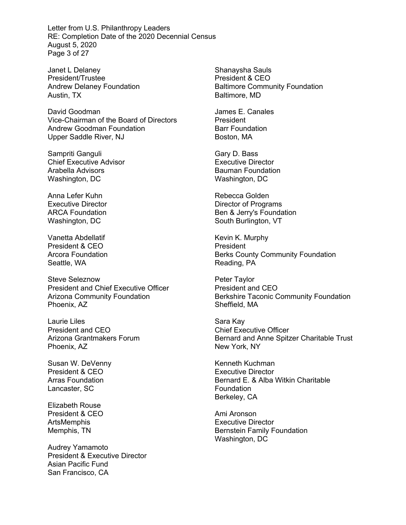Letter from U.S. Philanthropy Leaders RE: Completion Date of the 2020 Decennial Census August 5, 2020 Page 3 of 27

Janet L Delaney President/Trustee Andrew Delaney Foundation Austin, TX

David Goodman Vice-Chairman of the Board of Directors Andrew Goodman Foundation Upper Saddle River, NJ

Sampriti Ganguli Chief Executive Advisor Arabella Advisors Washington, DC

Anna Lefer Kuhn Executive Director ARCA Foundation Washington, DC

Vanetta Abdellatif President & CEO Arcora Foundation Seattle, WA

Steve Seleznow President and Chief Executive Officer Arizona Community Foundation Phoenix, AZ

Laurie Liles President and CEO Arizona Grantmakers Forum Phoenix, AZ

Susan W. DeVenny President & CEO Arras Foundation Lancaster, SC

Elizabeth Rouse President & CEO ArtsMemphis Memphis, TN

Audrey Yamamoto President & Executive Director Asian Pacific Fund San Francisco, CA

Shanaysha Sauls President & CEO Baltimore Community Foundation Baltimore, MD

James E. Canales President Barr Foundation Boston, MA

Gary D. Bass Executive Director Bauman Foundation Washington, DC

Rebecca Golden Director of Programs Ben & Jerry's Foundation South Burlington, VT

Kevin K. Murphy **President** Berks County Community Foundation Reading, PA

Peter Taylor President and CEO Berkshire Taconic Community Foundation Sheffield, MA

Sara Kay Chief Executive Officer Bernard and Anne Spitzer Charitable Trust New York, NY

Kenneth Kuchman Executive Director Bernard E. & Alba Witkin Charitable Foundation Berkeley, CA

Ami Aronson Executive Director Bernstein Family Foundation Washington, DC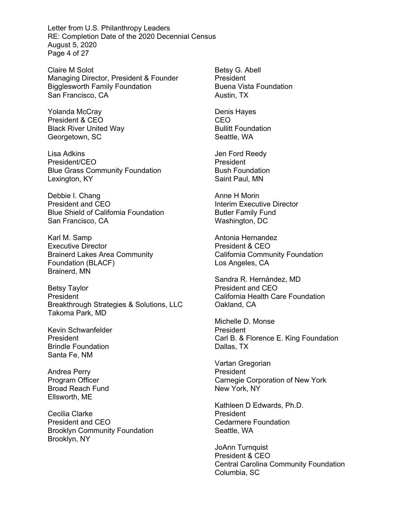Letter from U.S. Philanthropy Leaders RE: Completion Date of the 2020 Decennial Census August 5, 2020 Page 4 of 27

Claire M Solot Managing Director, President & Founder Bigglesworth Family Foundation San Francisco, CA

Yolanda McCray President & CEO Black River United Way Georgetown, SC

Lisa Adkins President/CEO Blue Grass Community Foundation Lexington, KY

Debbie I. Chang President and CEO Blue Shield of California Foundation San Francisco, CA

Karl M. Samp Executive Director Brainerd Lakes Area Community Foundation (BLACF) Brainerd, MN

Betsy Taylor President Breakthrough Strategies & Solutions, LLC Takoma Park, MD

Kevin Schwanfelder President Brindle Foundation Santa Fe, NM

Andrea Perry Program Officer Broad Reach Fund Ellsworth, ME

Cecilia Clarke President and CEO Brooklyn Community Foundation Brooklyn, NY

Betsy G. Abell President Buena Vista Foundation Austin, TX

Denis Hayes CEO Bullitt Foundation Seattle, WA

Jen Ford Reedy President Bush Foundation Saint Paul, MN

Anne H Morin Interim Executive Director Butler Family Fund Washington, DC

Antonia Hernandez President & CEO California Community Foundation Los Angeles, CA

Sandra R. Hernández, MD President and CEO California Health Care Foundation Oakland, CA

Michelle D. Monse President Carl B. & Florence E. King Foundation Dallas, TX

Vartan Gregorian **President** Carnegie Corporation of New York New York, NY

Kathleen D Edwards, Ph.D. President Cedarmere Foundation Seattle, WA

JoAnn Turnquist President & CEO Central Carolina Community Foundation Columbia, SC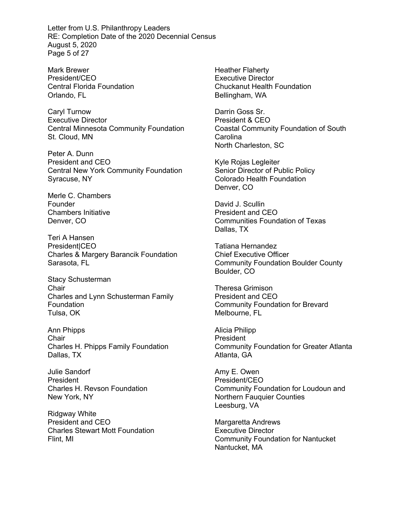Letter from U.S. Philanthropy Leaders RE: Completion Date of the 2020 Decennial Census August 5, 2020 Page 5 of 27

Mark Brewer President/CEO Central Florida Foundation Orlando, FL

Caryl Turnow Executive Director Central Minnesota Community Foundation St. Cloud, MN

Peter A. Dunn President and CEO Central New York Community Foundation Syracuse, NY

Merle C. Chambers Founder Chambers Initiative Denver, CO

Teri A Hansen **PresidentICEO** Charles & Margery Barancik Foundation Sarasota, FL

Stacy Schusterman **Chair** Charles and Lynn Schusterman Family Foundation Tulsa, OK

Ann Phipps Chair Charles H. Phipps Family Foundation Dallas, TX

Julie Sandorf President Charles H. Revson Foundation New York, NY

Ridgway White President and CEO Charles Stewart Mott Foundation Flint, MI

Heather Flaherty Executive Director Chuckanut Health Foundation Bellingham, WA

Darrin Goss Sr. President & CEO Coastal Community Foundation of South Carolina North Charleston, SC

Kyle Rojas Legleiter Senior Director of Public Policy Colorado Health Foundation Denver, CO

David J. Scullin President and CEO Communities Foundation of Texas Dallas, TX

Tatiana Hernandez Chief Executive Officer Community Foundation Boulder County Boulder, CO

Theresa Grimison President and CEO Community Foundation for Brevard Melbourne, FL

Alicia Philipp President Community Foundation for Greater Atlanta Atlanta, GA

Amy E. Owen President/CEO Community Foundation for Loudoun and Northern Fauquier Counties Leesburg, VA

Margaretta Andrews Executive Director Community Foundation for Nantucket Nantucket, MA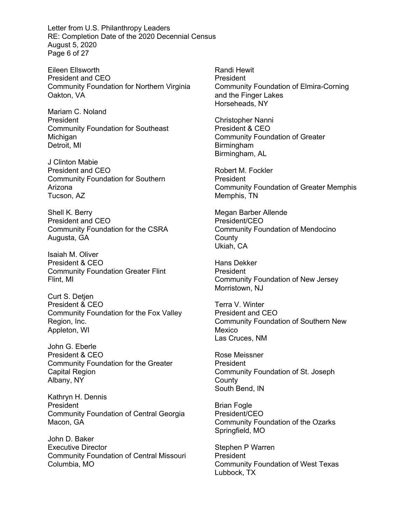Letter from U.S. Philanthropy Leaders RE: Completion Date of the 2020 Decennial Census August 5, 2020 Page 6 of 27

Eileen Ellsworth President and CEO Community Foundation for Northern Virginia Oakton, VA

Mariam C. Noland President Community Foundation for Southeast Michigan Detroit, MI

J Clinton Mabie President and CEO Community Foundation for Southern Arizona Tucson, AZ

Shell K. Berry President and CEO Community Foundation for the CSRA Augusta, GA

Isaiah M. Oliver President & CEO Community Foundation Greater Flint Flint, MI

Curt S. Detjen President & CEO Community Foundation for the Fox Valley Region, Inc. Appleton, WI

John G. Eberle President & CEO Community Foundation for the Greater Capital Region Albany, NY

Kathryn H. Dennis President Community Foundation of Central Georgia Macon, GA

John D. Baker Executive Director Community Foundation of Central Missouri Columbia, MO

Randi Hewit President Community Foundation of Elmira-Corning and the Finger Lakes Horseheads, NY

Christopher Nanni President & CEO Community Foundation of Greater Birmingham Birmingham, AL

Robert M. Fockler **President** Community Foundation of Greater Memphis Memphis, TN

Megan Barber Allende President/CEO Community Foundation of Mendocino **County** Ukiah, CA

Hans Dekker President Community Foundation of New Jersey Morristown, NJ

Terra V. Winter President and CEO Community Foundation of Southern New Mexico Las Cruces, NM

Rose Meissner President Community Foundation of St. Joseph **County** South Bend, IN

Brian Fogle President/CEO Community Foundation of the Ozarks Springfield, MO

Stephen P Warren **President** Community Foundation of West Texas Lubbock, TX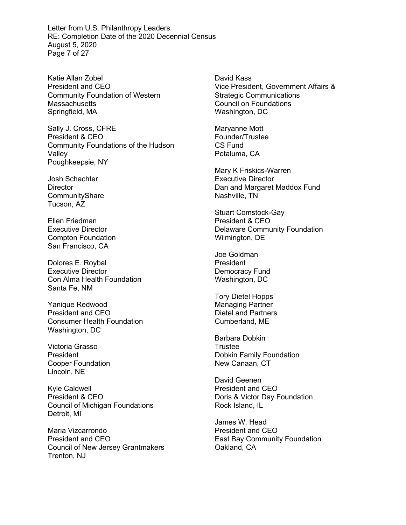Letter from U.S. Philanthropy Leaders RE: Completion Date of the 2020 Decennial Census August 5, 2020 Page 7 of 27

Katie Allan Zobel President and CEO Community Foundation of Western **Massachusetts** Springfield, MA

Sally J. Cross, CFRE President & CEO Community Foundations of the Hudson Valley Poughkeepsie, NY

Josh Schachter **Director** CommunityShare Tucson, AZ

Ellen Friedman Executive Director Compton Foundation San Francisco, CA

Dolores E. Roybal Executive Director Con Alma Health Foundation Santa Fe, NM

Yanique Redwood President and CEO Consumer Health Foundation Washington, DC

Victoria Grasso President Cooper Foundation Lincoln, NE

Kyle Caldwell President & CEO Council of Michigan Foundations Detroit, MI

Maria Vizcarrondo President and CEO Council of New Jersey Grantmakers Trenton, NJ

David Kass Vice President, Government Affairs & Strategic Communications Council on Foundations Washington, DC

Maryanne Mott Founder/Trustee CS Fund Petaluma, CA

Mary K Friskics-Warren Executive Director Dan and Margaret Maddox Fund Nashville, TN

Stuart Comstock-Gay President & CEO Delaware Community Foundation Wilmington, DE

Joe Goldman **President** Democracy Fund Washington, DC

Tory Dietel Hopps Managing Partner Dietel and Partners Cumberland, ME

Barbara Dobkin **Trustee** Dobkin Family Foundation New Canaan, CT

David Geenen President and CEO Doris & Victor Day Foundation Rock Island, IL

James W. Head President and CEO East Bay Community Foundation Oakland, CA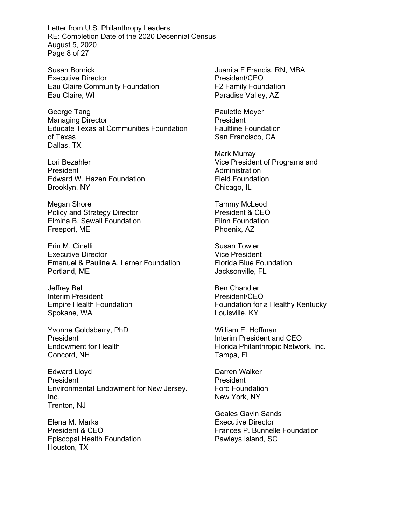Letter from U.S. Philanthropy Leaders RE: Completion Date of the 2020 Decennial Census August 5, 2020 Page 8 of 27

Susan Bornick Executive Director Eau Claire Community Foundation Eau Claire, WI

George Tang Managing Director Educate Texas at Communities Foundation of Texas Dallas, TX

Lori Bezahler President Edward W. Hazen Foundation Brooklyn, NY

Megan Shore Policy and Strategy Director Elmina B. Sewall Foundation Freeport, ME

Erin M. Cinelli Executive Director Emanuel & Pauline A. Lerner Foundation Portland, ME

Jeffrey Bell Interim President Empire Health Foundation Spokane, WA

Yvonne Goldsberry, PhD President Endowment for Health Concord, NH

Edward Lloyd President Environmental Endowment for New Jersey. Inc. Trenton, NJ

Elena M. Marks President & CEO Episcopal Health Foundation Houston, TX

Juanita F Francis, RN, MBA President/CEO F2 Family Foundation Paradise Valley, AZ

Paulette Meyer **President** Faultline Foundation San Francisco, CA

Mark Murray Vice President of Programs and Administration Field Foundation Chicago, IL

Tammy McLeod President & CEO Flinn Foundation Phoenix, AZ

Susan Towler Vice President Florida Blue Foundation Jacksonville, FL

Ben Chandler President/CEO Foundation for a Healthy Kentucky Louisville, KY

William E. Hoffman Interim President and CEO Florida Philanthropic Network, Inc. Tampa, FL

Darren Walker President Ford Foundation New York, NY

Geales Gavin Sands Executive Director Frances P. Bunnelle Foundation Pawleys Island, SC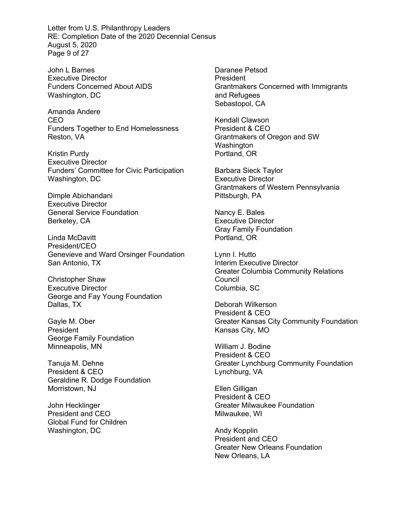Letter from U.S. Philanthropy Leaders RE: Completion Date of the 2020 Decennial Census August 5, 2020 Page 9 of 27

John L Barnes Executive Director Funders Concerned About AIDS Washington, DC

Amanda Andere CEO Funders Together to End Homelessness Reston, VA

Kristin Purdy Executive Director Funders' Committee for Civic Participation Washington, DC

Dimple Abichandani Executive Director General Service Foundation Berkeley, CA

Linda McDavitt President/CEO Genevieve and Ward Orsinger Foundation San Antonio, TX

Christopher Shaw Executive Director George and Fay Young Foundation Dallas, TX

Gayle M. Ober President George Family Foundation Minneapolis, MN

Tanuja M. Dehne President & CEO Geraldine R. Dodge Foundation Morristown, NJ

John Hecklinger President and CEO Global Fund for Children Washington, DC

Daranee Petsod President Grantmakers Concerned with Immigrants and Refugees Sebastopol, CA

Kendall Clawson President & CEO Grantmakers of Oregon and SW Washington Portland, OR

Barbara Sieck Taylor Executive Director Grantmakers of Western Pennsylvania Pittsburgh, PA

Nancy E. Bales Executive Director Gray Family Foundation Portland, OR

Lynn I. Hutto Interim Executive Director Greater Columbia Community Relations Council Columbia, SC

Deborah Wilkerson President & CEO Greater Kansas City Community Foundation Kansas City, MO

William J. Bodine President & CEO Greater Lynchburg Community Foundation Lynchburg, VA

Ellen Gilligan President & CEO Greater Milwaukee Foundation Milwaukee, WI

Andy Kopplin President and CEO Greater New Orleans Foundation New Orleans, LA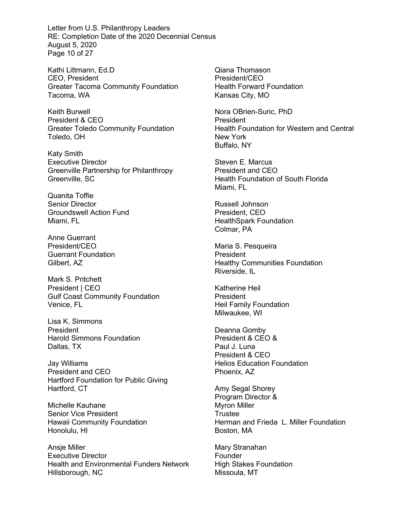Letter from U.S. Philanthropy Leaders RE: Completion Date of the 2020 Decennial Census August 5, 2020 Page 10 of 27

Kathi Littmann, Ed.D CEO, President Greater Tacoma Community Foundation Tacoma, WA

Keith Burwell President & CEO Greater Toledo Community Foundation Toledo, OH

Katy Smith Executive Director Greenville Partnership for Philanthropy Greenville, SC

Quanita Toffie Senior Director Groundswell Action Fund Miami, FL

Anne Guerrant President/CEO Guerrant Foundation Gilbert, AZ

Mark S. Pritchett President | CEO Gulf Coast Community Foundation Venice, FL

Lisa K. Simmons President Harold Simmons Foundation Dallas, TX

Jay Williams President and CEO Hartford Foundation for Public Giving Hartford, CT

Michelle Kauhane Senior Vice President Hawaii Community Foundation Honolulu, HI

Ansje Miller Executive Director Health and Environmental Funders Network Hillsborough, NC

Qiana Thomason President/CEO Health Forward Foundation Kansas City, MO

Nora OBrien-Suric, PhD **President** Health Foundation for Western and Central New York Buffalo, NY

Steven E. Marcus President and CEO Health Foundation of South Florida Miami, FL

Russell Johnson President, CEO HealthSpark Foundation Colmar, PA

Maria S. Pesqueira President Healthy Communities Foundation Riverside, IL

Katherine Heil President Heil Family Foundation Milwaukee, WI

Deanna Gomby President & CEO & Paul J. Luna President & CEO Helios Education Foundation Phoenix, AZ

Amy Segal Shorey Program Director & Myron Miller Trustee Herman and Frieda L. Miller Foundation Boston, MA

Mary Stranahan **Founder** High Stakes Foundation Missoula, MT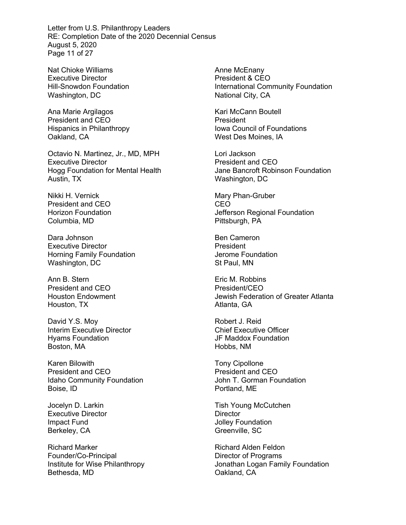Letter from U.S. Philanthropy Leaders RE: Completion Date of the 2020 Decennial Census August 5, 2020 Page 11 of 27

Nat Chioke Williams Executive Director Hill-Snowdon Foundation Washington, DC

Ana Marie Argilagos President and CEO Hispanics in Philanthropy Oakland, CA

Octavio N. Martinez, Jr., MD, MPH Executive Director Hogg Foundation for Mental Health Austin, TX

Nikki H. Vernick President and CEO Horizon Foundation Columbia, MD

Dara Johnson Executive Director Horning Family Foundation Washington, DC

Ann B. Stern President and CEO Houston Endowment Houston, TX

David Y.S. Moy Interim Executive Director Hyams Foundation Boston, MA

Karen Bilowith President and CEO Idaho Community Foundation Boise, ID

Jocelyn D. Larkin Executive Director Impact Fund Berkeley, CA

Richard Marker Founder/Co-Principal Institute for Wise Philanthropy Bethesda, MD

Anne McEnany President & CEO International Community Foundation National City, CA

Kari McCann Boutell President Iowa Council of Foundations West Des Moines, IA

Lori Jackson President and CEO Jane Bancroft Robinson Foundation Washington, DC

Mary Phan-Gruber CEO Jefferson Regional Foundation Pittsburgh, PA

Ben Cameron President Jerome Foundation St Paul, MN

Eric M. Robbins President/CEO Jewish Federation of Greater Atlanta Atlanta, GA

Robert J. Reid Chief Executive Officer JF Maddox Foundation Hobbs, NM

Tony Cipollone President and CEO John T. Gorman Foundation Portland, ME

Tish Young McCutchen **Director** Jolley Foundation Greenville, SC

Richard Alden Feldon Director of Programs Jonathan Logan Family Foundation Oakland, CA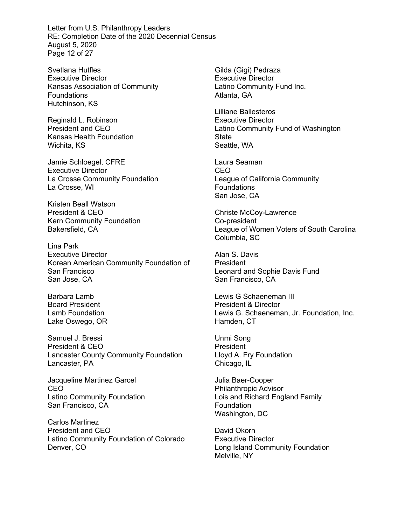Letter from U.S. Philanthropy Leaders RE: Completion Date of the 2020 Decennial Census August 5, 2020 Page 12 of 27

Svetlana Hutfles Executive Director Kansas Association of Community **Foundations** Hutchinson, KS

Reginald L. Robinson President and CEO Kansas Health Foundation Wichita, KS

Jamie Schloegel, CFRE Executive Director La Crosse Community Foundation La Crosse, WI

Kristen Beall Watson President & CEO Kern Community Foundation Bakersfield, CA

Lina Park Executive Director Korean American Community Foundation of San Francisco San Jose, CA

Barbara Lamb Board President Lamb Foundation Lake Oswego, OR

Samuel J. Bressi President & CEO Lancaster County Community Foundation Lancaster, PA

Jacqueline Martinez Garcel CEO Latino Community Foundation San Francisco, CA

Carlos Martinez President and CEO Latino Community Foundation of Colorado Denver, CO

Gilda (Gigi) Pedraza Executive Director Latino Community Fund Inc. Atlanta, GA

Lilliane Ballesteros Executive Director Latino Community Fund of Washington State Seattle, WA

Laura Seaman CEO League of California Community Foundations San Jose, CA

Christe McCoy-Lawrence Co-president League of Women Voters of South Carolina Columbia, SC

Alan S. Davis **President** Leonard and Sophie Davis Fund San Francisco, CA

Lewis G Schaeneman III President & Director Lewis G. Schaeneman, Jr. Foundation, Inc. Hamden, CT

Unmi Song President Lloyd A. Fry Foundation Chicago, IL

Julia Baer-Cooper Philanthropic Advisor Lois and Richard England Family **Foundation** Washington, DC

David Okorn Executive Director Long Island Community Foundation Melville, NY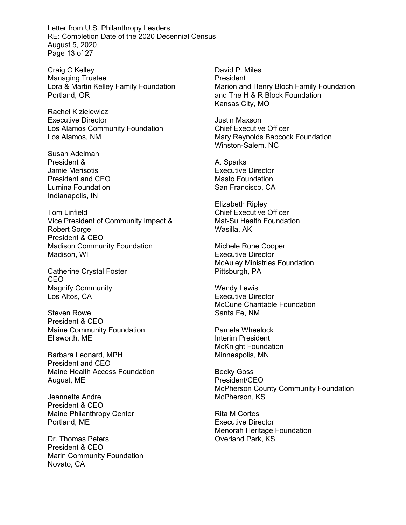Letter from U.S. Philanthropy Leaders RE: Completion Date of the 2020 Decennial Census August 5, 2020 Page 13 of 27

Craig C Kelley Managing Trustee Lora & Martin Kelley Family Foundation Portland, OR

Rachel Kizielewicz Executive Director Los Alamos Community Foundation Los Alamos, NM

Susan Adelman President & Jamie Merisotis President and CEO Lumina Foundation Indianapolis, IN

Tom Linfield Vice President of Community Impact & Robert Sorge President & CEO Madison Community Foundation Madison, WI

Catherine Crystal Foster CEO Magnify Community Los Altos, CA

Steven Rowe President & CEO Maine Community Foundation Ellsworth, ME

Barbara Leonard, MPH President and CEO Maine Health Access Foundation August, ME

Jeannette Andre President & CEO Maine Philanthropy Center Portland, ME

Dr. Thomas Peters President & CEO Marin Community Foundation Novato, CA

David P. Miles President Marion and Henry Bloch Family Foundation and The H & R Block Foundation Kansas City, MO

Justin Maxson Chief Executive Officer Mary Reynolds Babcock Foundation Winston-Salem, NC

A. Sparks Executive Director Masto Foundation San Francisco, CA

Elizabeth Ripley Chief Executive Officer Mat-Su Health Foundation Wasilla, AK

Michele Rone Cooper Executive Director McAuley Ministries Foundation Pittsburgh, PA

Wendy Lewis Executive Director McCune Charitable Foundation Santa Fe, NM

Pamela Wheelock Interim President McKnight Foundation Minneapolis, MN

Becky Goss President/CEO McPherson County Community Foundation McPherson, KS

Rita M Cortes Executive Director Menorah Heritage Foundation Overland Park, KS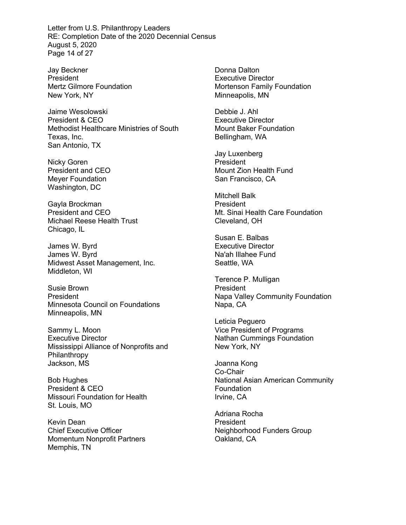Letter from U.S. Philanthropy Leaders RE: Completion Date of the 2020 Decennial Census August 5, 2020 Page 14 of 27

Jay Beckner President Mertz Gilmore Foundation New York, NY

Jaime Wesolowski President & CEO Methodist Healthcare Ministries of South Texas, Inc. San Antonio, TX

Nicky Goren President and CEO Meyer Foundation Washington, DC

Gayla Brockman President and CEO Michael Reese Health Trust Chicago, IL

James W. Byrd James W. Byrd Midwest Asset Management, Inc. Middleton, WI

Susie Brown President Minnesota Council on Foundations Minneapolis, MN

Sammy L. Moon Executive Director Mississippi Alliance of Nonprofits and Philanthropy Jackson, MS

Bob Hughes President & CEO Missouri Foundation for Health St. Louis, MO

Kevin Dean Chief Executive Officer Momentum Nonprofit Partners Memphis, TN

Donna Dalton Executive Director Mortenson Family Foundation Minneapolis, MN

Debbie J. Ahl Executive Director Mount Baker Foundation Bellingham, WA

Jay Luxenberg President Mount Zion Health Fund San Francisco, CA

Mitchell Balk **President** Mt. Sinai Health Care Foundation Cleveland, OH

Susan E. Balbas Executive Director Na'ah Illahee Fund Seattle, WA

Terence P. Mulligan President Napa Valley Community Foundation Napa, CA

Leticia Peguero Vice President of Programs Nathan Cummings Foundation New York, NY

Joanna Kong Co-Chair National Asian American Community Foundation Irvine, CA

Adriana Rocha President Neighborhood Funders Group Oakland, CA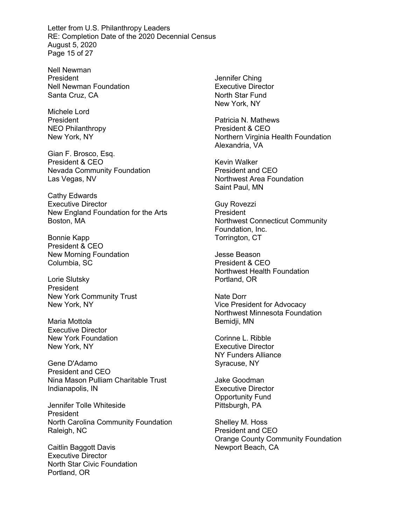Letter from U.S. Philanthropy Leaders RE: Completion Date of the 2020 Decennial Census August 5, 2020 Page 15 of 27

Nell Newman President Nell Newman Foundation Santa Cruz, CA

Michele Lord **President** NEO Philanthropy New York, NY

Gian F. Brosco, Esq. President & CEO Nevada Community Foundation Las Vegas, NV

Cathy Edwards Executive Director New England Foundation for the Arts Boston, MA

Bonnie Kapp President & CEO New Morning Foundation Columbia, SC

Lorie Slutsky President New York Community Trust New York, NY

Maria Mottola Executive Director New York Foundation New York, NY

Gene D'Adamo President and CEO Nina Mason Pulliam Charitable Trust Indianapolis, IN

Jennifer Tolle Whiteside President North Carolina Community Foundation Raleigh, NC

Caitlin Baggott Davis Executive Director North Star Civic Foundation Portland, OR

Jennifer Ching Executive Director North Star Fund New York, NY

Patricia N. Mathews President & CEO Northern Virginia Health Foundation Alexandria, VA

Kevin Walker President and CEO Northwest Area Foundation Saint Paul, MN

Guy Rovezzi President Northwest Connecticut Community Foundation, Inc. Torrington, CT

Jesse Beason President & CEO Northwest Health Foundation Portland, OR

Nate Dorr Vice President for Advocacy Northwest Minnesota Foundation Bemidji, MN

Corinne L. Ribble Executive Director NY Funders Alliance Syracuse, NY

Jake Goodman Executive Director Opportunity Fund Pittsburgh, PA

Shelley M. Hoss President and CEO Orange County Community Foundation Newport Beach, CA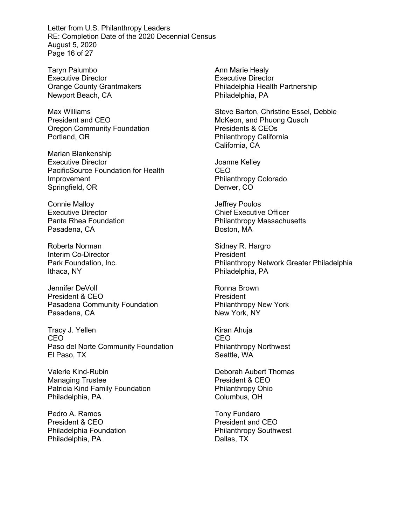Letter from U.S. Philanthropy Leaders RE: Completion Date of the 2020 Decennial Census August 5, 2020 Page 16 of 27

Taryn Palumbo Executive Director Orange County Grantmakers Newport Beach, CA

Max Williams President and CEO Oregon Community Foundation Portland, OR

Marian Blankenship Executive Director PacificSource Foundation for Health Improvement Springfield, OR

Connie Malloy Executive Director Panta Rhea Foundation Pasadena, CA

Roberta Norman Interim Co-Director Park Foundation, Inc. Ithaca, NY

Jennifer DeVoll President & CEO Pasadena Community Foundation Pasadena, CA

Tracy J. Yellen CEO Paso del Norte Community Foundation El Paso, TX

Valerie Kind-Rubin Managing Trustee Patricia Kind Family Foundation Philadelphia, PA

Pedro A. Ramos President & CEO Philadelphia Foundation Philadelphia, PA

Ann Marie Healy Executive Director Philadelphia Health Partnership Philadelphia, PA

Steve Barton, Christine Essel, Debbie McKeon, and Phuong Quach Presidents & CEOs Philanthropy California California, CA

Joanne Kelley CEO Philanthropy Colorado Denver, CO

Jeffrey Poulos Chief Executive Officer Philanthropy Massachusetts Boston, MA

Sidney R. Hargro President Philanthropy Network Greater Philadelphia Philadelphia, PA

Ronna Brown President Philanthropy New York New York, NY

Kiran Ahuja CEO Philanthropy Northwest Seattle, WA

Deborah Aubert Thomas President & CEO Philanthropy Ohio Columbus, OH

Tony Fundaro President and CEO Philanthropy Southwest Dallas, TX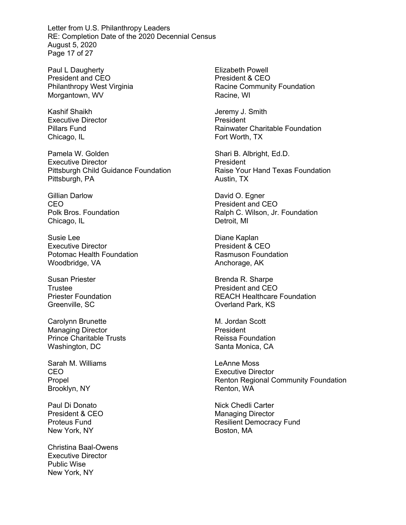Letter from U.S. Philanthropy Leaders RE: Completion Date of the 2020 Decennial Census August 5, 2020 Page 17 of 27

Paul L Daugherty President and CEO Philanthropy West Virginia Morgantown, WV

Kashif Shaikh Executive Director Pillars Fund Chicago, IL

Pamela W. Golden Executive Director Pittsburgh Child Guidance Foundation Pittsburgh, PA

Gillian Darlow CEO Polk Bros. Foundation Chicago, IL

Susie Lee Executive Director Potomac Health Foundation Woodbridge, VA

Susan Priester Trustee Priester Foundation Greenville, SC

Carolynn Brunette Managing Director Prince Charitable Trusts Washington, DC

Sarah M. Williams CEO Propel Brooklyn, NY

Paul Di Donato President & CEO Proteus Fund New York, NY

Christina Baal-Owens Executive Director Public Wise New York, NY

Elizabeth Powell President & CEO Racine Community Foundation Racine, WI

Jeremy J. Smith President Rainwater Charitable Foundation Fort Worth, TX

Shari B. Albright, Ed.D. President Raise Your Hand Texas Foundation Austin, TX

David O. Egner President and CEO Ralph C. Wilson, Jr. Foundation Detroit, MI

Diane Kaplan President & CEO Rasmuson Foundation Anchorage, AK

Brenda R. Sharpe President and CEO REACH Healthcare Foundation Overland Park, KS

M. Jordan Scott President Reissa Foundation Santa Monica, CA

LeAnne Moss Executive Director Renton Regional Community Foundation Renton, WA

Nick Chedli Carter Managing Director Resilient Democracy Fund Boston, MA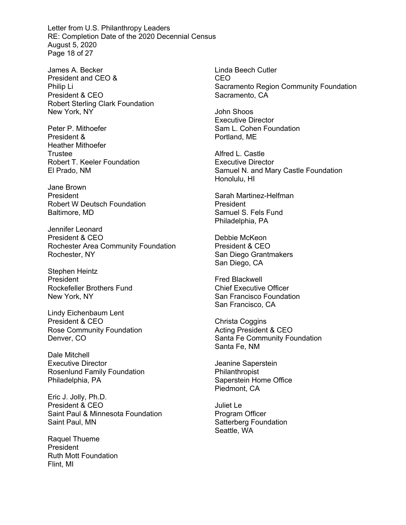Letter from U.S. Philanthropy Leaders RE: Completion Date of the 2020 Decennial Census August 5, 2020 Page 18 of 27

James A. Becker President and CEO & Philip Li President & CEO Robert Sterling Clark Foundation New York, NY

Peter P. Mithoefer President & Heather Mithoefer Trustee Robert T. Keeler Foundation El Prado, NM

Jane Brown President Robert W Deutsch Foundation Baltimore, MD

Jennifer Leonard President & CEO Rochester Area Community Foundation Rochester, NY

Stephen Heintz President Rockefeller Brothers Fund New York, NY

Lindy Eichenbaum Lent President & CEO Rose Community Foundation Denver, CO

Dale Mitchell Executive Director Rosenlund Family Foundation Philadelphia, PA

Eric J. Jolly, Ph.D. President & CEO Saint Paul & Minnesota Foundation Saint Paul, MN

Raquel Thueme President Ruth Mott Foundation Flint, MI

Linda Beech Cutler CEO Sacramento Region Community Foundation Sacramento, CA

John Shoos Executive Director Sam L. Cohen Foundation Portland, ME

Alfred L. Castle Executive Director Samuel N. and Mary Castle Foundation Honolulu, HI

Sarah Martinez-Helfman President Samuel S. Fels Fund Philadelphia, PA

Debbie McKeon President & CEO San Diego Grantmakers San Diego, CA

Fred Blackwell Chief Executive Officer San Francisco Foundation San Francisco, CA

Christa Coggins Acting President & CEO Santa Fe Community Foundation Santa Fe, NM

Jeanine Saperstein Philanthropist Saperstein Home Office Piedmont, CA

Juliet Le Program Officer Satterberg Foundation Seattle, WA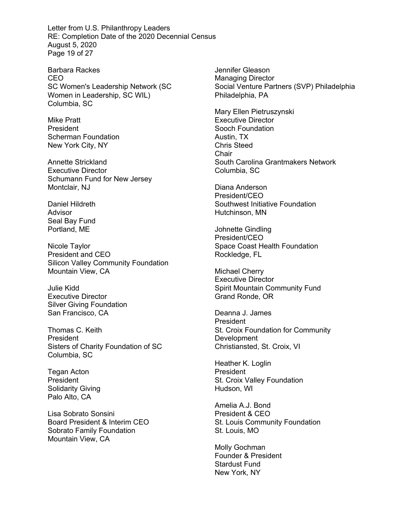Letter from U.S. Philanthropy Leaders RE: Completion Date of the 2020 Decennial Census August 5, 2020 Page 19 of 27

Barbara Rackes CEO SC Women's Leadership Network (SC Women in Leadership, SC WIL) Columbia, SC

Mike Pratt President Scherman Foundation New York City, NY

Annette Strickland Executive Director Schumann Fund for New Jersey Montclair, NJ

Daniel Hildreth Advisor Seal Bay Fund Portland, ME

Nicole Taylor President and CEO Silicon Valley Community Foundation Mountain View, CA

Julie Kidd Executive Director Silver Giving Foundation San Francisco, CA

Thomas C. Keith President Sisters of Charity Foundation of SC Columbia, SC

Tegan Acton President Solidarity Giving Palo Alto, CA

Lisa Sobrato Sonsini Board President & Interim CEO Sobrato Family Foundation Mountain View, CA

Jennifer Gleason Managing Director Social Venture Partners (SVP) Philadelphia Philadelphia, PA

Mary Ellen Pietruszynski Executive Director Sooch Foundation Austin, TX Chris Steed **Chair** South Carolina Grantmakers Network Columbia, SC

Diana Anderson President/CEO Southwest Initiative Foundation Hutchinson, MN

Johnette Gindling President/CEO Space Coast Health Foundation Rockledge, FL

Michael Cherry Executive Director Spirit Mountain Community Fund Grand Ronde, OR

Deanna J. James President St. Croix Foundation for Community **Development** Christiansted, St. Croix, VI

Heather K. Loglin President St. Croix Valley Foundation Hudson, WI

Amelia A.J. Bond President & CEO St. Louis Community Foundation St. Louis, MO

Molly Gochman Founder & President Stardust Fund New York, NY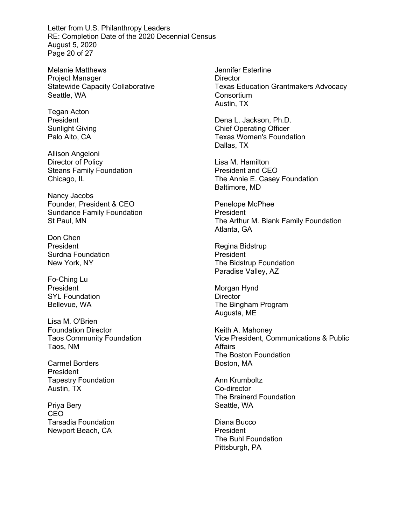Letter from U.S. Philanthropy Leaders RE: Completion Date of the 2020 Decennial Census August 5, 2020 Page 20 of 27

Melanie Matthews Project Manager Statewide Capacity Collaborative Seattle, WA

Tegan Acton President Sunlight Giving Palo Alto, CA

Allison Angeloni Director of Policy Steans Family Foundation Chicago, IL

Nancy Jacobs Founder, President & CEO Sundance Family Foundation St Paul, MN

Don Chen President Surdna Foundation New York, NY

Fo-Ching Lu President SYL Foundation Bellevue, WA

Lisa M. O'Brien Foundation Director Taos Community Foundation Taos, NM

Carmel Borders President Tapestry Foundation Austin, TX

Priya Bery CEO Tarsadia Foundation Newport Beach, CA

Jennifer Esterline **Director** Texas Education Grantmakers Advocacy **Consortium** Austin, TX

Dena L. Jackson, Ph.D. Chief Operating Officer Texas Women's Foundation Dallas, TX

Lisa M. Hamilton President and CEO The Annie E. Casey Foundation Baltimore, MD

Penelope McPhee President The Arthur M. Blank Family Foundation Atlanta, GA

Regina Bidstrup President The Bidstrup Foundation Paradise Valley, AZ

Morgan Hynd **Director** The Bingham Program Augusta, ME

Keith A. Mahoney Vice President, Communications & Public **Affairs** The Boston Foundation Boston, MA

Ann Krumboltz Co-director The Brainerd Foundation Seattle, WA

Diana Bucco President The Buhl Foundation Pittsburgh, PA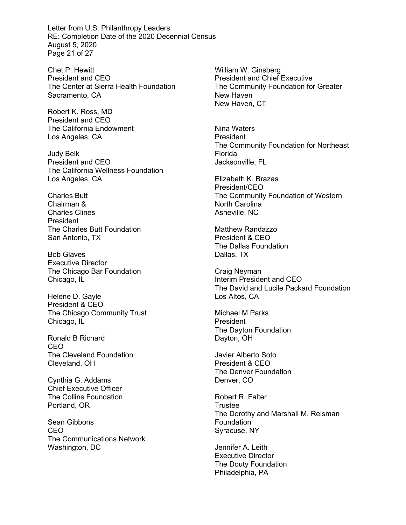Letter from U.S. Philanthropy Leaders RE: Completion Date of the 2020 Decennial Census August 5, 2020 Page 21 of 27

Chet P. Hewitt President and CEO The Center at Sierra Health Foundation Sacramento, CA

Robert K. Ross, MD President and CEO The California Endowment Los Angeles, CA

Judy Belk President and CEO The California Wellness Foundation Los Angeles, CA

Charles Butt Chairman & Charles Clines President The Charles Butt Foundation San Antonio, TX

Bob Glaves Executive Director The Chicago Bar Foundation Chicago, IL

Helene D. Gayle President & CEO The Chicago Community Trust Chicago, IL

Ronald B Richard CEO The Cleveland Foundation Cleveland, OH

Cynthia G. Addams Chief Executive Officer The Collins Foundation Portland, OR

Sean Gibbons CEO The Communications Network Washington, DC

William W. Ginsberg President and Chief Executive The Community Foundation for Greater New Haven New Haven, CT

Nina Waters President The Community Foundation for Northeast Florida Jacksonville, FL

Elizabeth K. Brazas President/CEO The Community Foundation of Western North Carolina Asheville, NC

Matthew Randazzo President & CEO The Dallas Foundation Dallas, TX

Craig Neyman Interim President and CEO The David and Lucile Packard Foundation Los Altos, CA

Michael M Parks President The Dayton Foundation Dayton, OH

Javier Alberto Soto President & CEO The Denver Foundation Denver, CO

Robert R. Falter **Trustee** The Dorothy and Marshall M. Reisman Foundation Syracuse, NY

Jennifer A. Leith Executive Director The Douty Foundation Philadelphia, PA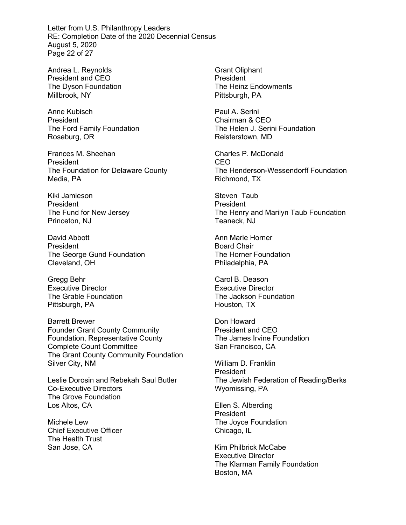Letter from U.S. Philanthropy Leaders RE: Completion Date of the 2020 Decennial Census August 5, 2020 Page 22 of 27

Andrea L. Reynolds President and CEO The Dyson Foundation Millbrook, NY

Anne Kubisch **President** The Ford Family Foundation Roseburg, OR

Frances M. Sheehan President The Foundation for Delaware County Media, PA

Kiki Jamieson President The Fund for New Jersey Princeton, NJ

David Abbott President The George Gund Foundation Cleveland, OH

Gregg Behr Executive Director The Grable Foundation Pittsburgh, PA

Barrett Brewer Founder Grant County Community Foundation, Representative County Complete Count Committee The Grant County Community Foundation Silver City, NM

Leslie Dorosin and Rebekah Saul Butler Co-Executive Directors The Grove Foundation Los Altos, CA

Michele Lew Chief Executive Officer The Health Trust San Jose, CA

Grant Oliphant President The Heinz Endowments Pittsburgh, PA

Paul A. Serini Chairman & CEO The Helen J. Serini Foundation Reisterstown, MD

Charles P. McDonald CEO The Henderson-Wessendorff Foundation Richmond, TX

Steven Taub **President** The Henry and Marilyn Taub Foundation Teaneck, NJ

Ann Marie Horner Board Chair The Horner Foundation Philadelphia, PA

Carol B. Deason Executive Director The Jackson Foundation Houston, TX

Don Howard President and CEO The James Irvine Foundation San Francisco, CA

William D. Franklin President The Jewish Federation of Reading/Berks Wyomissing, PA

Ellen S. Alberding President The Joyce Foundation Chicago, IL

Kim Philbrick McCabe Executive Director The Klarman Family Foundation Boston, MA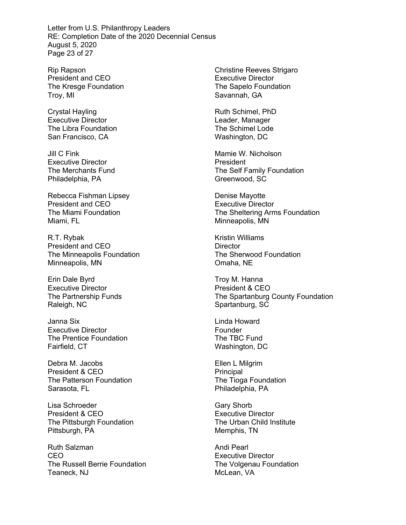Letter from U.S. Philanthropy Leaders RE: Completion Date of the 2020 Decennial Census August 5, 2020 Page 23 of 27

Rip Rapson President and CEO The Kresge Foundation Troy, MI

Crystal Hayling Executive Director The Libra Foundation San Francisco, CA

Jill C Fink Executive Director The Merchants Fund Philadelphia, PA

Rebecca Fishman Lipsey President and CEO The Miami Foundation Miami, FL

R.T. Rybak President and CEO The Minneapolis Foundation Minneapolis, MN

Erin Dale Byrd Executive Director The Partnership Funds Raleigh, NC

Janna Six Executive Director The Prentice Foundation Fairfield, CT

Debra M. Jacobs President & CEO The Patterson Foundation Sarasota, FL

Lisa Schroeder President & CEO The Pittsburgh Foundation Pittsburgh, PA

Ruth Salzman CEO The Russell Berrie Foundation Teaneck, NJ

Christine Reeves Strigaro Executive Director The Sapelo Foundation Savannah, GA

Ruth Schimel, PhD Leader, Manager The Schimel Lode Washington, DC

Mamie W. Nicholson President The Self Family Foundation Greenwood, SC

Denise Mayotte Executive Director The Sheltering Arms Foundation Minneapolis, MN

Kristin Williams **Director** The Sherwood Foundation Omaha, NE

Troy M. Hanna President & CEO The Spartanburg County Foundation Spartanburg, SC

Linda Howard Founder The TBC Fund Washington, DC

Ellen L Milgrim Principal The Tioga Foundation Philadelphia, PA

Gary Shorb Executive Director The Urban Child Institute Memphis, TN

Andi Pearl Executive Director The Volgenau Foundation McLean, VA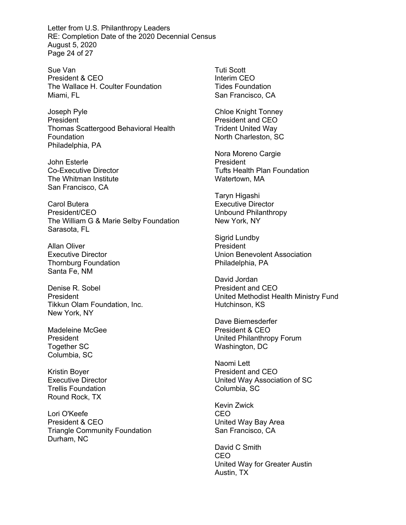Letter from U.S. Philanthropy Leaders RE: Completion Date of the 2020 Decennial Census August 5, 2020 Page 24 of 27

Sue Van President & CEO The Wallace H. Coulter Foundation Miami, FL

Joseph Pyle **President** Thomas Scattergood Behavioral Health Foundation Philadelphia, PA

John Esterle Co-Executive Director The Whitman Institute San Francisco, CA

Carol Butera President/CEO The William G & Marie Selby Foundation Sarasota, FL

Allan Oliver Executive Director Thornburg Foundation Santa Fe, NM

Denise R. Sobel President Tikkun Olam Foundation, Inc. New York, NY

Madeleine McGee President Together SC Columbia, SC

Kristin Boyer Executive Director Trellis Foundation Round Rock, TX

Lori O'Keefe President & CEO Triangle Community Foundation Durham, NC

Tuti Scott Interim CEO Tides Foundation San Francisco, CA

Chloe Knight Tonney President and CEO Trident United Way North Charleston, SC

Nora Moreno Cargie President Tufts Health Plan Foundation Watertown, MA

Taryn Higashi Executive Director Unbound Philanthropy New York, NY

Sigrid Lundby President Union Benevolent Association Philadelphia, PA

David Jordan President and CEO United Methodist Health Ministry Fund Hutchinson, KS

Dave Biemesderfer President & CEO United Philanthropy Forum Washington, DC

Naomi Lett President and CEO United Way Association of SC Columbia, SC

Kevin Zwick CEO United Way Bay Area San Francisco, CA

David C Smith CEO United Way for Greater Austin Austin, TX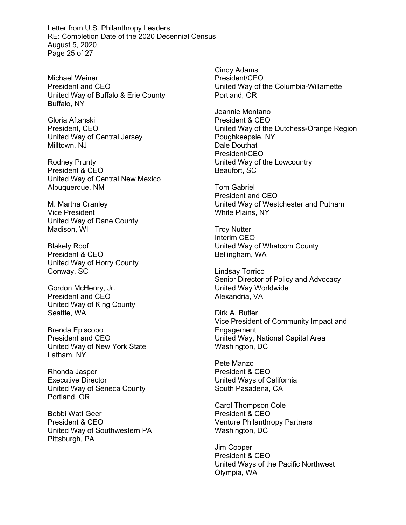Letter from U.S. Philanthropy Leaders RE: Completion Date of the 2020 Decennial Census August 5, 2020 Page 25 of 27

Michael Weiner President and CEO United Way of Buffalo & Erie County Buffalo, NY

Gloria Aftanski President, CEO United Way of Central Jersey Milltown, NJ

Rodney Prunty President & CEO United Way of Central New Mexico Albuquerque, NM

M. Martha Cranley Vice President United Way of Dane County Madison, WI

Blakely Roof President & CEO United Way of Horry County Conway, SC

Gordon McHenry, Jr. President and CEO United Way of King County Seattle, WA

Brenda Episcopo President and CEO United Way of New York State Latham, NY

Rhonda Jasper Executive Director United Way of Seneca County Portland, OR

Bobbi Watt Geer President & CEO United Way of Southwestern PA Pittsburgh, PA

Cindy Adams President/CEO United Way of the Columbia-Willamette Portland, OR

Jeannie Montano President & CEO United Way of the Dutchess-Orange Region Poughkeepsie, NY Dale Douthat President/CEO United Way of the Lowcountry Beaufort, SC

Tom Gabriel President and CEO United Way of Westchester and Putnam White Plains, NY

Troy Nutter Interim CEO United Way of Whatcom County Bellingham, WA

Lindsay Torrico Senior Director of Policy and Advocacy United Way Worldwide Alexandria, VA

Dirk A. Butler Vice President of Community Impact and Engagement United Way, National Capital Area Washington, DC

Pete Manzo President & CEO United Ways of California South Pasadena, CA

Carol Thompson Cole President & CEO Venture Philanthropy Partners Washington, DC

Jim Cooper President & CEO United Ways of the Pacific Northwest Olympia, WA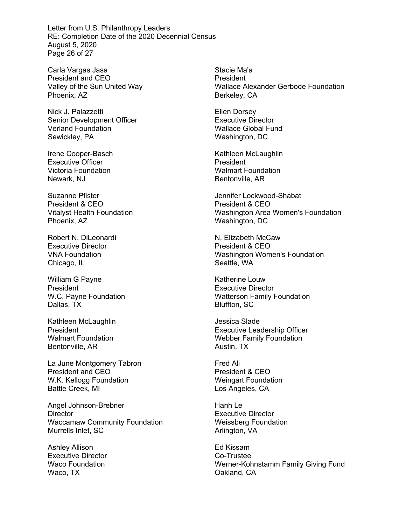Letter from U.S. Philanthropy Leaders RE: Completion Date of the 2020 Decennial Census August 5, 2020 Page 26 of 27

Carla Vargas Jasa President and CEO Valley of the Sun United Way Phoenix, AZ

Nick J. Palazzetti Senior Development Officer Verland Foundation Sewickley, PA

Irene Cooper-Basch Executive Officer Victoria Foundation Newark, NJ

Suzanne Pfister President & CEO Vitalyst Health Foundation Phoenix, AZ

Robert N. DiLeonardi Executive Director VNA Foundation Chicago, IL

William G Payne President W.C. Payne Foundation Dallas, TX

Kathleen McLaughlin President Walmart Foundation Bentonville, AR

La June Montgomery Tabron President and CEO W.K. Kellogg Foundation Battle Creek, MI

Angel Johnson-Brebner **Director** Waccamaw Community Foundation Murrells Inlet, SC

Ashley Allison Executive Director Waco Foundation Waco, TX

Stacie Ma'a President Wallace Alexander Gerbode Foundation Berkeley, CA

Ellen Dorsey Executive Director Wallace Global Fund Washington, DC

Kathleen McLaughlin President Walmart Foundation Bentonville, AR

Jennifer Lockwood-Shabat President & CEO Washington Area Women's Foundation Washington, DC

N. Elizabeth McCaw President & CEO Washington Women's Foundation Seattle, WA

Katherine Louw Executive Director Watterson Family Foundation Bluffton, SC

Jessica Slade Executive Leadership Officer Webber Family Foundation Austin, TX

Fred Ali President & CEO Weingart Foundation Los Angeles, CA

Hanh Le Executive Director Weissberg Foundation Arlington, VA

Ed Kissam Co-Trustee Werner-Kohnstamm Family Giving Fund Oakland, CA